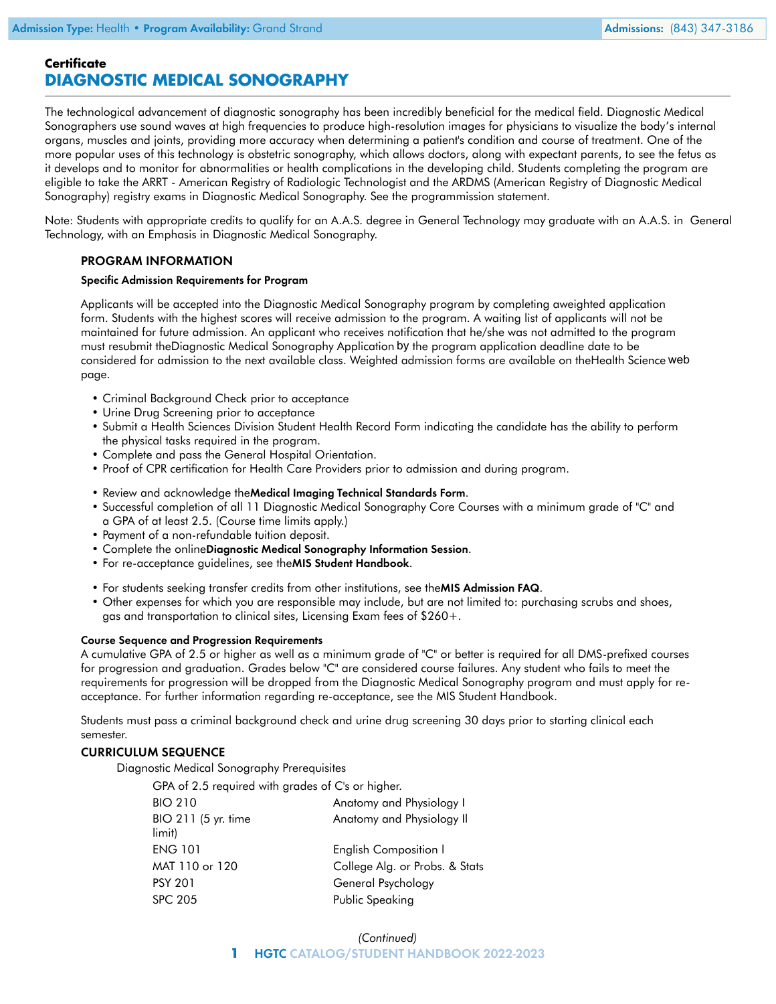# **Certificate DIAGNOSTIC MEDICAL SONOGRAPHY**

The technological advancement of diagnostic sonography has been incredibly beneficial for the medical field. Diagnostic Medical Sonographers use sound waves at high frequencies to produce high-resolution images for physicians to visualize the body's internal organs, muscles and joints, providing more accuracy when determining a patient's condition and course of treatment. One of the more popular uses of this technology is obstetric sonography, which allows doctors, along with expectant parents, to see the fetus as it develops and to monitor for abnormalities or health complications in the developing child. Students completing the program are eligible to take the ARRT - American Registry of Radiologic Technologist and the ARDMS (American Registry of Diagnostic Medical Sonography) registry exams in Diagnostic Medical Sonography. See the program[mission statement.](https://www.hgtc.edu/documents/academics/programs/mis/mission-statement-dms.pdf)

Note: Students with appropriate credits to qualify for an A.A.S. degree in General Technology may graduate with an A.A.S. in General Technology, with an Emphasis in Diagnostic Medical Sonography.

## PROGRAM INFORMATION

#### Specific Admission Requirements for Program

Applicants will be accepted into the Diagnostic Medical Sonography program by completing a[weighted application](http://libguides.hgtc.edu/ld.php?content_id=8468641) [form.](http://libguides.hgtc.edu/ld.php?content_id=8468641) Students with the highest scores will receive admission to the program. A waiting list of applicants will not be maintained for future admission. An applicant who receives notification that he/she was not admitted to the program must resubmit th[eDiagnostic Medical Sonography Application](http://libguides.hgtc.edu/ld.php?content_id=8468641) by the program application deadline date to be considered for admission to the next available class. Weighted admission forms are available on th[eHealth Science](https://www.hgtc.edu/admissions/healthsciencesstudents.html) web page.

- Criminal Background Check prior to acceptance
- Urine Drug Screening prior to acceptance
- Submit a Health Sciences Division Student Health Record Form indicating the candidate has the ability to perform the physical tasks required in the program.
- Complete and pass the General Hospital Orientation.
- Proof of CPR certification for Health Care Providers prior to admission and during program.
- Review and acknowledge the[Medical Imaging Technical Standards Form](https://www.hgtc.edu/documents/admissions/healthscience/medical-imaging-technical-standards.pdf).
- Successful completion of all 11 Diagnostic Medical Sonography Core Courses with a minimum grade of "C" and a GPA of at least 2.5. (Course time limits apply.)
- Payment of a non-refundable tuition deposit.
- Complete the online[Diagnostic Medical Sonography Information Session](https://www.hgtc.edu/admissions/healthsciencesstudents.html).
- For re-acceptance guidelines, see the [MIS Student Handbook](https://www.hgtc.edu/documents/academics/programs/mis/mis-student-handbook.pdf).
- For students seeking transfer credits from other institutions, see the [MIS Admission FAQ](https://www.hgtc.edu/documents/academics/programs/mis/mis_FAQ.pdf).
- Other expenses for which you are responsible may include, but are not limited to: purchasing scrubs and shoes, gas and transportation to clinical sites, Licensing Exam fees of \$260+.

#### Course Sequence and Progression Requirements

A cumulative GPA of 2.5 or higher as well as a minimum grade of "C" or better is required for all DMS-prefixed courses for progression and graduation. Grades below "C" are considered course failures. Any student who fails to meet the requirements for progression will be dropped from the Diagnostic Medical Sonography program and must apply for reacceptance. For further information regarding re-acceptance, see the [MIS Student Handbook](https://www.hgtc.edu/documents/academics/programs/mis/mis-student-handbook.pdf).

Students must pass a criminal background check and urine drug screening 30 days prior to starting clinical each semester.

#### CURRICULUM SEQUENCE

Diagnostic Medical Sonography Prerequisites

| GPA of 2.5 required with grades of C's or higher. |  |
|---------------------------------------------------|--|
| Anatomy and Physiology I                          |  |
| Anatomy and Physiology II                         |  |
| English Composition I                             |  |
| College Alg. or Probs. & Stats                    |  |
| General Psychology                                |  |
| Public Speaking                                   |  |
|                                                   |  |

### *(Continued)* **1** HGTC CATALOG/STUDENT HANDBOOK 2022-2023